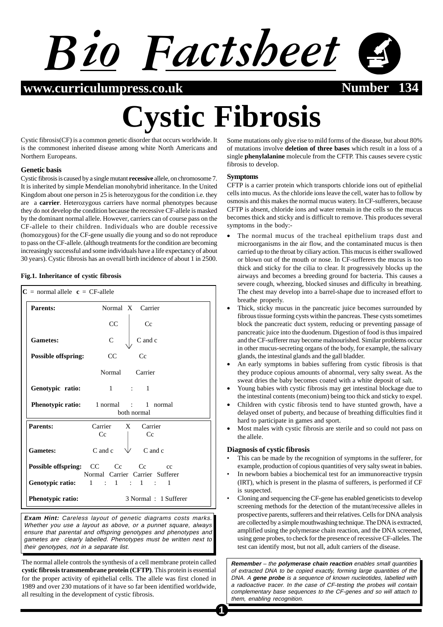

**www.curriculumpress.co.uk Number 134**

# **Cystic Fibrosis**

Cystic fibrosis(CF) is a common genetic disorder that occurs worldwide. It is the commonest inherited disease among white North Americans and Northern Europeans.

## **Genetic basis**

Cystic fibrosis is caused by a single mutant **recessive** allele, on chromosome 7. It is inherited by simple Mendelian monohybrid inheritance. In the United Kingdom about one person in 25 is heterozygous for the condition i.e. they are a **carrier**. Heterozygous carriers have normal phenotypes because they do not develop the condition because the recessive CF-allele is masked by the dominant normal allele. However, carriers can of course pass on the CF-allele to their children. Individuals who are double recessive (homozygous) for the CF-gene usually die young and so do not reproduce to pass on the CF-allele. (although treatments for the condition are becoming increasingly successful and some individuals have a life expectancy of about 30 years). Cystic fibrosis has an overall birth incidence of about 1 in 2500.

## **Fig.1. Inheritance of cystic fibrosis**

| $C =$ normal allele $c = CF$ -allele |                                                                           |
|--------------------------------------|---------------------------------------------------------------------------|
| Parents:                             | Normal X Carrier                                                          |
|                                      | CC<br>Cc                                                                  |
| <b>Gametes:</b>                      | $\mathcal{C}$<br>C and c                                                  |
| <b>Possible offspring:</b>           | Cc<br>$_{\rm CC}$                                                         |
|                                      | Normal Carrier                                                            |
| Genotypic ratio:                     | $1 \qquad \qquad 1 \qquad \qquad 1$                                       |
|                                      | <b>Phenotypic ratio:</b> 1 normal : 1 normal<br>both normal               |
| Parents:                             | Carrier X Carrier<br>Cc<br>Cc                                             |
| <b>Gametes:</b>                      | C and c $\forall$ C and c                                                 |
|                                      | <b>Possible offspring:</b> CC Cc Cc cc<br>Normal Carrier Carrier Sufferer |
|                                      | Genotypic ratio: 1 : 1 : 1 : 1                                            |
| Phenotypic ratio:                    | 3 Normal: 1 Sufferer                                                      |

**Exam Hint:** Careless layout of genetic diagrams costs marks. Whether you use a layout as above, or a punnet square, always ensure that parental and offspring genotypes and phenotypes and gametes are clearly labelled. Phenotypes must be written next to their genotypes, not in a separate list.

The normal allele controls the synthesis of a cell membrane protein called **cystic fibrosis transmembrane protein (CFTP)**. This protein is essential for the proper activity of epithelial cells. The allele was first cloned in 1989 and over 230 mutations of it have so far been identified worldwide, all resulting in the development of cystic fibrosis.

Some mutations only give rise to mild forms of the disease, but about 80% of mutations involve **deletion of three bases** which result in a loss of a single **phenylalanine** molecule from the CFTP. This causes severe cystic fibrosis to develop.

# **Symptoms**

CFTP is a carrier protein which transports chloride ions out of epithelial cells into mucus. As the chloride ions leave the cell, water has to follow by osmosis and this makes the normal mucus watery. In CF-sufferers, because CFTP is absent, chloride ions and water remain in the cells so the mucus becomes thick and sticky and is difficult to remove. This produces several symptoms in the body:-

- The normal mucus of the tracheal epithelium traps dust and microorganisms in the air flow, and the contaminated mucus is then carried up to the throat by ciliary action. This mucus is either swallowed or blown out of the mouth or nose. In CF-sufferers the mucus is too thick and sticky for the cilia to clear. It progressively blocks up the airways and becomes a breeding ground for bacteria. This causes a severe cough, wheezing, blocked sinuses and difficulty in breathing. The chest may develop into a barrel-shape due to increased effort to breathe properly.
- Thick, sticky mucus in the pancreatic juice becomes surrounded by fibrous tissue forming cysts within the pancreas. These cysts sometimes block the pancreatic duct system, reducing or preventing passage of pancreatic juice into the duodenum. Digestion of food is thus impaired and the CF-sufferer may become malnourished. Similar problems occur in other mucus-secreting organs of the body, for example, the salivary glands, the intestinal glands and the gall bladder.
- An early symptoms in babies suffering from cystic fibrosis is that they produce copious amounts of abnormal, very salty sweat. As the sweat dries the baby becomes coated with a white deposit of salt.
- Young babies with cystic fibrosis may get intestinal blockage due to the intestinal contents (meconium) being too thick and sticky to expel.
- Children with cystic fibrosis tend to have stunted growth, have a delayed onset of puberty, and because of breathing difficulties find it hard to participate in games and sport.
- Most males with cystic fibrosis are sterile and so could not pass on the allele.

# **Diagnosis of cystic fibrosis**

- This can be made by the recognition of symptoms in the sufferer, for example, production of copious quantities of very salty sweat in babies.
- In newborn babies a biochemical test for an immunoreactive trypsin (IRT), which is present in the plasma of sufferers, is performed if CF is suspected.
- Cloning and sequencing the CF-gene has enabled geneticists to develop screening methods for the detection of the mutant/recessive alleles in prospective parents, sufferers and their relatives. Cells for DNA analysis are collected by a simple mouthwashing technique. The DNA is extracted, amplified using the polymerase chain reaction, and the DNA screened, using gene probes, to check for the presence of recessive CF-alleles. The test can identify most, but not all, adult carriers of the disease.

**Remember** – the **polymerase chain reaction** enables small quantities of extracted DNA to be copied exactly, forming large quantities of the DNA. A **gene probe** is a sequence of known nucleotides, labelled with a radioactive tracer. In the case of CF-testing the probes will contain complementary base sequences to the CF-genes and so will attach to them, enabling recognition.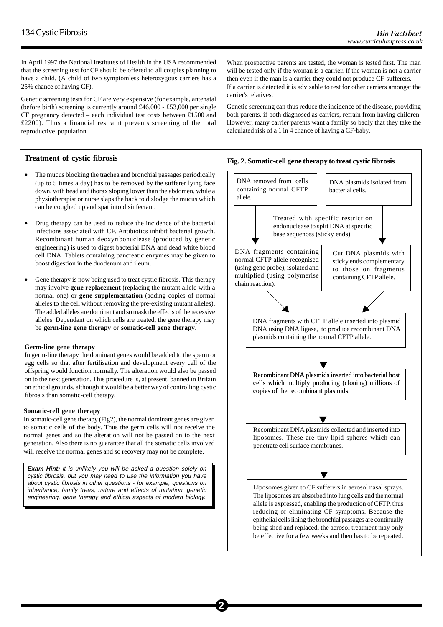In April 1997 the National Institutes of Health in the USA recommended that the screening test for CF should be offered to all couples planning to have a child. (A child of two symptomless heterozygous carriers has a 25% chance of having CF).

Genetic screening tests for CF are very expensive (for example, antenatal (before birth) screening is currently around £46,000 - £53,000 per single CF pregnancy detected – each individual test costs between £1500 and £2200). Thus a financial restraint prevents screening of the total reproductive population.

# **Treatment of cystic fibrosis**

- The mucus blocking the trachea and bronchial passages periodically (up to 5 times a day) has to be removed by the sufferer lying face down, with head and thorax sloping lower than the abdomen, while a physiotherapist or nurse slaps the back to dislodge the mucus which can be coughed up and spat into disinfectant.
- Drug therapy can be used to reduce the incidence of the bacterial infections associated with CF. Antibiotics inhibit bacterial growth. Recombinant human deoxyribonuclease (produced by genetic engineering) is used to digest bacterial DNA and dead white blood cell DNA. Tablets containing pancreatic enzymes may be given to boost digestion in the duodenum and ileum.
- Gene therapy is now being used to treat cystic fibrosis. This therapy may involve **gene replacement** (replacing the mutant allele with a normal one) or **gene supplementation** (adding copies of normal alleles to the cell without removing the pre-existing mutant alleles). The added alleles are dominant and so mask the effects of the recessive alleles. Dependant on which cells are treated, the gene therapy may be **germ-line gene therapy** or **somatic-cell gene therapy**.

#### **Germ-line gene therapy**

In germ-line therapy the dominant genes would be added to the sperm or egg cells so that after fertilisation and development every cell of the offspring would function normally. The alteration would also be passed on to the next generation. This procedure is, at present, banned in Britain on ethical grounds, although it would be a better way of controlling cystic fibrosis than somatic-cell therapy.

## **Somatic-cell gene therapy**

In somatic-cell gene therapy (Fig2), the normal dominant genes are given to somatic cells of the body. Thus the germ cells will not receive the normal genes and so the alteration will not be passed on to the next generation. Also there is no guarantee that all the somatic cells involved will receive the normal genes and so recovery may not be complete.

**Exam Hint:** it is unlikely you will be asked a question solely on cystic fibrosis, but you may need to use the information you have about cystic fibrosis in other questions - for example, questions on inheritance, family trees, nature and effects of mutation, genetic engineering, gene therapy and ethical aspects of modern biology.

When prospective parents are tested, the woman is tested first. The man will be tested only if the woman is a carrier. If the woman is not a carrier then even if the man is a carrier they could not produce CF-sufferers.

If a carrier is detected it is advisable to test for other carriers amongst the carrier's relatives.

Genetic screening can thus reduce the incidence of the disease, providing both parents, if both diagnosed as carriers, refrain from having children. However, many carrier parents want a family so badly that they take the calculated risk of a 1 in 4 chance of having a CF-baby.